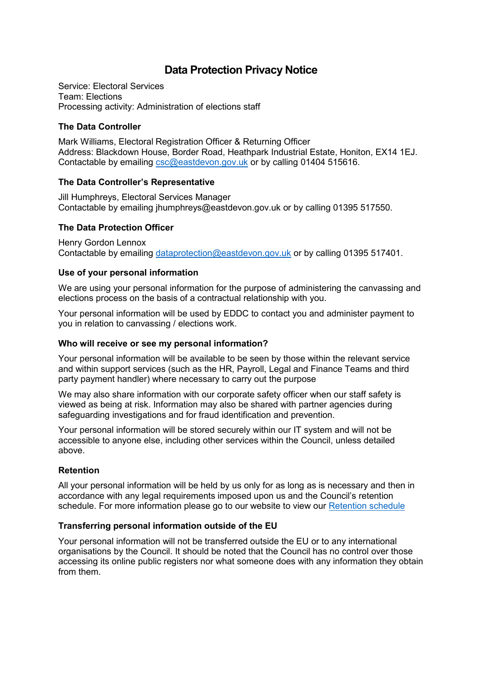# **Data Protection Privacy Notice**

Service: Electoral Services Team: Elections Processing activity: Administration of elections staff

### **The Data Controller**

Mark Williams, Electoral Registration Officer & Returning Officer Address: Blackdown House, Border Road, Heathpark Industrial Estate, Honiton, EX14 1EJ. Contactable by emailing [csc@eastdevon.gov.uk](mailto:csc@eastdevon.gov.uk) or by calling 01404 515616.

## **The Data Controller's Representative**

Jill Humphreys, Electoral Services Manager Contactable by emailing [jhumphreys@eastdevon.gov.uk](mailto:jhumphreys@eastdevon.gov.uk) or by calling 01395 517550.

## **The Data Protection Officer**

Henry Gordon Lennox Contactable by emailing [dataprotection@eastdevon.gov.uk](mailto:dataprotection@eastdevon.gov.uk) or by calling 01395 517401.

#### **Use of your personal information**

We are using your personal information for the purpose of administering the canvassing and elections process on the basis of a contractual relationship with you.

Your personal information will be used by EDDC to contact you and administer payment to you in relation to canvassing / elections work.

#### **Who will receive or see my personal information?**

Your personal information will be available to be seen by those within the relevant service and within support services (such as the HR, Payroll, Legal and Finance Teams and third party payment handler) where necessary to carry out the purpose

We may also share information with our corporate safety officer when our staff safety is viewed as being at risk. Information may also be shared with partner agencies during safeguarding investigations and for fraud identification and prevention.

Your personal information will be stored securely within our IT system and will not be accessible to anyone else, including other services within the Council, unless detailed above.

#### **Retention**

All your personal information will be held by us only for as long as is necessary and then in accordance with any legal requirements imposed upon us and the Council's retention schedule. For more information please go to our website to view our [Retention schedule](http://eastdevon.gov.uk/access-to-information/data-protection/document-retention-schedules/)

## **Transferring personal information outside of the EU**

Your personal information will not be transferred outside the EU or to any international organisations by the Council. It should be noted that the Council has no control over those accessing its online public registers nor what someone does with any information they obtain from them.